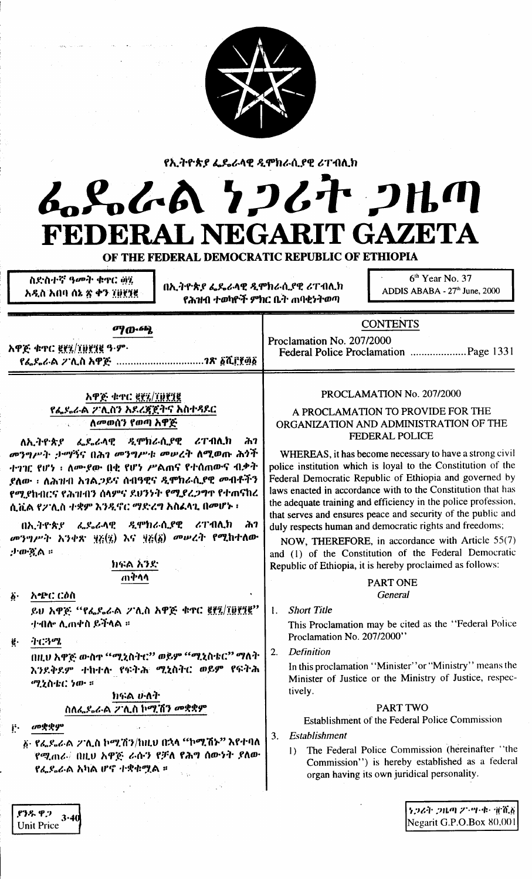

የኢትዮጵያ ፌዴራላዊ ዲሞክራሲያዊ ሪፐብሊክ

# んとんれ クンムナ コルの FEDERAL NEGARIT GAZETA

OF THE FEDERAL DEMOCRATIC REPUBLIC OF ETHIOPIA

ስደነስተኛ ዓመት ቁዋር ወሂ አዲስ አበባ ሰኔ ጽ ቀን ፲፱፻፺፪

በኢትዮጵያ ፌዴራላዊ ዲሞክራሲያዊ ሪፐብሊክ የሕዝብ ተወካዮች ምክር ቤት ጠባቂነትወጣ

6<sup>th</sup> Year No. 37 ADDIS ABABA - 27th June, 2000

ማውጫ

አዋጅ ቁጥር ፪፻፺/፲፱፻፺፪ ዓ-ም· የፌዶራል **ፖሊስ አዋጅ …………………………?**ጽ ፩ሺ፫፻፴፩

### አዋጅ ቁተር ፪፻፳/፲፱፻፺፪ የፌደራል ፖሊስን አደረጃጀትና አስተጻደር ለመወሰን የወጣ አዋጅ

ለኢትዮጵያ ፌዴራላዊ ዲሞክራሲያዊ ሪፐብሊክ ሕገ መንግሥት ታማኝና በሕገ መንግሥቱ መሠረት ለሚወጡ ሕጎች ተገገር የሆነ ፡ ለሙያው በቂ የሆነ ሥልጠና የተሰጠውና ብቃት ደለው ፣ ለሕዝብ አገልጋይና ሰብዓዊና ዲሞክራሲያዊ መብቶችን የሚያከብርና የሕዝብን ሰላምና ደህንነት የሚደረጋግጥ የተጠናከረ ሲቪል የፖሊስ ተቋም እንዲኖር ማድረግ አስፈላጊ በመሆኑ ፣

በኢትዮጵያ ፌዴራላዊ ዲሞክራሲያዊ ሪፐብሊክ ሕገ መንግሥት አንቀጽ ፶፩(፶) እና ፶፩(፩) መሠረት የሚከተለው ታውዷል ።

#### ክፍል አንድ ጠቅሳሳ

አጭር ርዕስ አ. ይህ አዋጅ "የፌዶራል ፖሊስ አዋጅ ቁጥር ፪፻፯/፲፱፻፺፪" ተብሎ ሊጠቀስ ይችላል ፡፡

ネビネック ë. በዚህ አዋጅ ውስጥ "ሚኒስትቲ" ወይም "ሚኒስቴር" ማለት

እንደቅደም ተከተሉ የፍትሕ ሚኒስትር ወይም የፍትሕ ሚኒስቴር ነው ።

> ክፍል ሁለት ስለፌዶሬራል ፖሊስ ኮሚሽን መቋቋም

መቋቋም  $\mathbf{i}^{\mathbf{i}}\cdot$ 

> ፩· የፌዴሬራል 2 ሲስ ኮሚሽን/ከዚህ በኋላ "ኮሚሽኑ" እየተባለ የሚጠራ∄ በዚህ አዋጅ ራሱን የቻለ የሕግ ሰውነት ያለው የፌደራል አካል ሆኖ ተቋቁሟል ።

### PROCLAMATION No. 207/2000

**CONTENTS** 

Proclamation No. 207/2000

A PROCLAMATION TO PROVIDE FOR THE ORGANIZATION AND ADMINISTRATION OF THE FEDERAL POLICE

WHEREAS, it has become necessary to have a strong civil police institution which is loyal to the Constitution of the Federal Democratic Republic of Ethiopia and governed by laws enacted in accordance with to the Constitution that has the adequate training and efficiency in the police profession, that serves and ensures peace and security of the public and duly respects human and democratic rights and freedoms;

NOW, THEREFORE, in accordance with Article 55(7) and (1) of the Constitution of the Federal Democratic Republic of Ethiopia, it is hereby proclaimed as follows:

#### **PART ONE** General

 $\mathbf{L}$ **Short Title** 

> This Proclamation may be cited as the "Federal Police Proclamation No. 207/2000"

 $2.$ **Definition** 

> In this proclamation "Minister" or "Ministry" means the Minister of Justice or the Ministry of Justice, respectively.

### **PART TWO**

Establishment of the Federal Police Commission

Establishment 3.

> The Federal Police Commission (hereinafter "the  $\mathbf{D}$ Commission") is hereby established as a federal organ having its own juridical personality.

> > ነጋሪት ጋዜጣ ፖንሣ-ቁ፣ ፹ሺ፩ Negarit G.P.O.Box 80,001

ያንዱ ዋጋ  $3.40$ **Unit Price**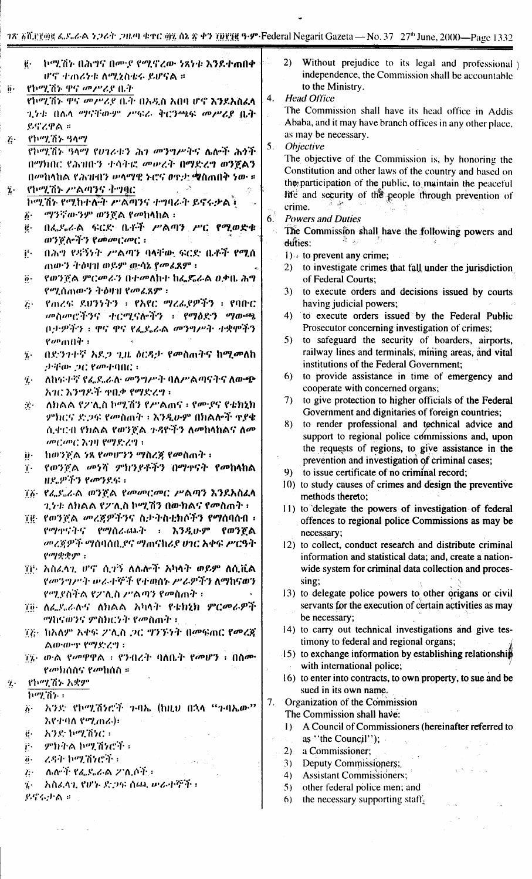|     | -ኮሚሽኑ በሕግና በሙ <i>ያ የሚ</i> ኖረው ነጻነቱ እ <b>ን</b> ደተ <b>ጠበ</b> ቀ<br>$\ddot{\mathbf{e}}\cdot$ |                | 2)<br>Without prejudice to its legal and professional                                                  |
|-----|------------------------------------------------------------------------------------------|----------------|--------------------------------------------------------------------------------------------------------|
|     | ሆኖ ተጠሪነቱ ለሚኒስቴሩ ይሆናል ።                                                                   |                | independence, the Commission shall be accountable                                                      |
| ij. | የኮሚሽኑ ዋና መሥሪያ ቤት                                                                         |                | to the Ministry.                                                                                       |
|     | የኮሚሽኑ ዋና መሥሪያ ቤት በአዲስ አበባ ሆኖ እንደአስፈላ                                                     | 4.             | <b>Head Office</b>                                                                                     |
|     | 2.74: በሴላ ማናቸውም ሥፍራ ቅርንጫፍ መሥሪያ ቤት                                                        |                | The Commission shall have its head office in Addis                                                     |
|     | ይኖረዋል ።                                                                                  |                | Ababa, and it may have branch offices in any other place,                                              |
| į٠  | የኮሚሽን ዓላማ                                                                                |                | as may be necessary.                                                                                   |
|     | የኮሚሽኑ ዓላማ የሀገሪቱን ሕገ መንግሥትና ሌሎች ሕጎች                                                       | 5.             | Objective                                                                                              |
|     | በማክበር የሕዝቡን ተሳትፎ መሠረት በማድረግ ወንጀልን                                                        |                | The objective of the Commission is, by honoring the                                                    |
|     | በመከላከል የሕዝብን ውላማዊ ኑሮና ወዋታ ሚስጠበቅ ነው ።                                                     |                | Constitution and other laws of the country and based on                                                |
| ï۰  | የኮሚሽኑ ሥልጣንና ትግፃር                                                                         |                | the participation of the public, to maintain the peaceful                                              |
|     | ኮሚሽኑ የሚከተለት ሥልጣንና ተግባራት ይኖሩቃልች                                                           |                | life and security of the people through prevention of                                                  |
|     | ማንኛውንም ወንጀል የመከ <b>ላከል</b> ፡<br>$\ddot{b}$ .                                             |                | crime.                                                                                                 |
|     | በፌዶራል ፍርድ ቤቶች ሥልጣን ሥር የሚወድቁ<br>ë.                                                        | 6 <sup>3</sup> | <b>Powers and Duties</b>                                                                               |
|     | ወን <u>የለማን የመመርመር</u> :                                                                  |                | The Commission shall have the following powers and                                                     |
|     | በሕግ የዳኝንት አማጣን ባላቸው ፍርድ ቤቶች የሚሰ                                                          |                | duties:                                                                                                |
|     | Ë.                                                                                       |                | 1) to prevent any crime;                                                                               |
|     | ጠውን ትዕዛዝ ወይም ውሳኔ ያመፈጸም ፡                                                                 |                | to investigate crimes that fall under the jurisdiction<br>2)                                           |
|     | የወንጅል ምርመራን በተመለከተ ከፌዴራል ዐቃቤ ሕግ<br>$\ddot{\mathbf{0}}$ .                                 |                | of Federal Courts;                                                                                     |
|     | የሚሰጠውን ትዕዛዝ የመፈጸም ፡                                                                      |                | to execute orders and decisions issued by courts<br>3)                                                 |
|     | የጠረፍ ደህንንትን ፣ የአየር ማሪፌያዎችን ፣ የባበር<br>$\ddot{G}$                                          |                | having judicial powers;                                                                                |
|     | መስመሮችንና ተርሚናሎችን ፡ የማዕድን ማውጫ                                                              |                | to execute orders issued by the Federal Public<br>4)<br>Prosecutor concerning investigation of crimes; |
|     | በታዎችን ፡ ዋና ዋና የፌደሬል <i>መንግሥት ተቋ</i> ሞችን                                                  |                | to safeguard the security of boarders, airports,<br>5)                                                 |
|     | $\ell$ <i>a</i> <sup>n</sup> $(0 \hat{q})$ :                                             |                | railway lines and terminals, mining areas, and vital                                                   |
|     | በድንጉተኛ አዶጋ ጊዜ ዕርዳታ የመስጠትና ከሚመለከ<br>$\dddot{a}$ .                                         |                | institutions of the Federal Government;                                                                |
|     | 99For 20 8 april 00 :                                                                    |                | to provide assistance in time of emergency and<br>6)                                                   |
|     | ለከፍተኛ የፌደሬሉ መንግሥት ባለሥልጣናትና ለውጭ<br>$\boldsymbol{\eta}$ .                                  |                | cooperate with concerned organs;                                                                       |
|     | አገር እንግዶች ዋቢቃ የማድረግ ፡                                                                    |                | to give protection to higher officials of the Federal<br>7)                                            |
|     | ለክልል የ2ገሊስ ኮሚሽን የሥልጠና ፣ የሙያና የቴክኒክ<br>$\mathcal{F}^{\star}$                              |                | Government and dignitaries of foreign countries;                                                       |
|     | ምክርና ድጋፍ የመስጠት ፡ እንዲሁም በክልሎች ዋደቄ                                                         |                | to render professional and technical advice and<br>8)                                                  |
|     | ሲቀርብ የክልል የወንጀል ጉዳዮችን ለመከላከልና ለመ                                                         |                | support to regional police commissions and, upon                                                       |
|     | መርመር እገዛ የማድረግ ፡                                                                         |                | the requests of regions, to give assistance in the                                                     |
|     | ከወንጀል ነጻ የመሆንን ማስረጃ የመስጠት ፡<br>ij٠                                                       |                | prevention and investigation of criminal cases;                                                        |
|     | የወንጀል መንሻ ምክንያቶችን በማቀናት የመከላከል<br>$\dddot{\mathbf{r}}$ .                                 |                | to issue certificate of no criminal record;<br>9)                                                      |
|     | ዘደ ዎችን የመንደና፡፡                                                                           |                | 10) to study causes of crimes and design the preventive                                                |
|     | ፲፩· የፌዴሬል ወንጅል የመመርመር ሥልጣን እንደአስፈላ                                                       |                | methods thereto;                                                                                       |
|     | <i>ኂነተ፡ ለክ</i> ልል የ2ንሊስ ኮሚሽን በውክልና የ <i>ሙ</i> ስጠት ፡፡                                     |                | 11) to delegate the powers of investigation of federal                                                 |
|     | 70 የወንጀል መረጃዎችንና ስታትስቲክሶችን የ <b>ማሰባሰብ</b> ፣                                              |                | offences to regional police Commissions as may be                                                      |
|     | የማዋናትና የማስራጨት ፡ እንዲሁም የወንጀል                                                              |                | necessary;                                                                                             |
|     | መረጃዎች ማሰባሰቢያና ማጠናከሪያ ሀገር አቀፍ ሥርዓት                                                        |                | 12) to collect, conduct research and distribute criminal                                               |
|     | $\rho$ ay $\psi$ gyo :                                                                   |                | information and statistical data; and, create a nation-                                                |
|     | ፲፱· አስፈላጊ ሆኖ ሲታኝ ለሌሎች አካላት ወይም ለሲቪል                                                      |                | wide system for criminal data collection and proces-                                                   |
|     | የመንግሥት ሠራተኞች የተወሰኑ ሥራዎችን ለማከናወን                                                          |                | sing;                                                                                                  |
|     | የሚያስችል የ2ንሊስ ሥልጣን የመስጠት ፣                                                                |                | 13) to delegate police powers to other origans or civil                                                |
|     | 70 ለፌደሬላና ለክልል አካላት የቴክኒክ ምር <i>መራዎ</i> ች                                                |                | servants for the execution of certain activities as may                                                |
|     | <i>ሚከናወንና ምስክርነት የመስጠት</i> ፡                                                             |                | be necessary;                                                                                          |
|     | ፲፫• ከአለም አቀፍ ፖሊስ ጋር ግንኙነት በመፍጠር የመረጃ                                                     |                | 14) to carry out technical investigations and give tes-                                                |
|     | ልውውዋ የማድረግ ፡                                                                             |                | timony to federal and regional organs;                                                                 |
|     | ፲፯• ውል የመዋዋል ፣ የንብረት ባለቤት የመሆን ፣ በስሙ                                                     |                | $\downarrow$ 5) to exchange information by establishing relationship                                   |
|     | <i>የመክስስና የመ</i> ከሰስ ፡፡                                                                  |                | with international police;                                                                             |
| Ϋ,  | የኮሚሽኑ አቋም                                                                                |                | 16) to enter into contracts, to own property, to sue and be                                            |
|     | ኮሚሽን ፡                                                                                   |                | sued in its own name.                                                                                  |
|     | አንድ የኮሚሽነሮች ጉባኤ (ከዚህ በኋላ "ጉባኤው"<br>$\ddot{b}$ .                                          | 7.             | Organization of the Commission<br>The Commission shall have:                                           |
|     | እየተባለ የሚጠራ)፡                                                                             |                |                                                                                                        |
|     | አንድ ኮሚሽነር።<br>$\mathbf{e}$                                                               |                | A Council of Commissioners (hereinafter referred to<br>$\mathbf{I}$                                    |
|     | ምክትል ኮሚሽነሮች ፡<br>$\mathbf{p}$ .                                                          |                | as "the Council");<br>$\omega=2\pi$                                                                    |
|     | ረዳት ኮሚሽነሮች ፡<br>$\ddot{\mathbf{0}}$ .                                                    |                | a Commissioner;<br>2)                                                                                  |
|     | ሴሎች የፌዴሬል 2 ሲሶች ፡<br>$\ddot{c}$                                                          |                | Deputy Commissioners;<br>3)<br>すだすこう                                                                   |
|     | አስፈላጊ የሆኑ ድጋፍ ሰጫ ሥራተኞች ፡<br>$\dddot{\mathbf{z}}$ .                                       |                | <b>Assistant Commissioners;</b><br>4)<br>other federal police men; and<br>5)                           |
|     |                                                                                          |                |                                                                                                        |
|     | $\beta$ $\beta$ $\leftrightarrow$ $\land$ $\therefore$                                   |                | the necessary supporting staff $_2$<br>(6)                                                             |

 $\epsilon/\sigma$ 

 $\sim$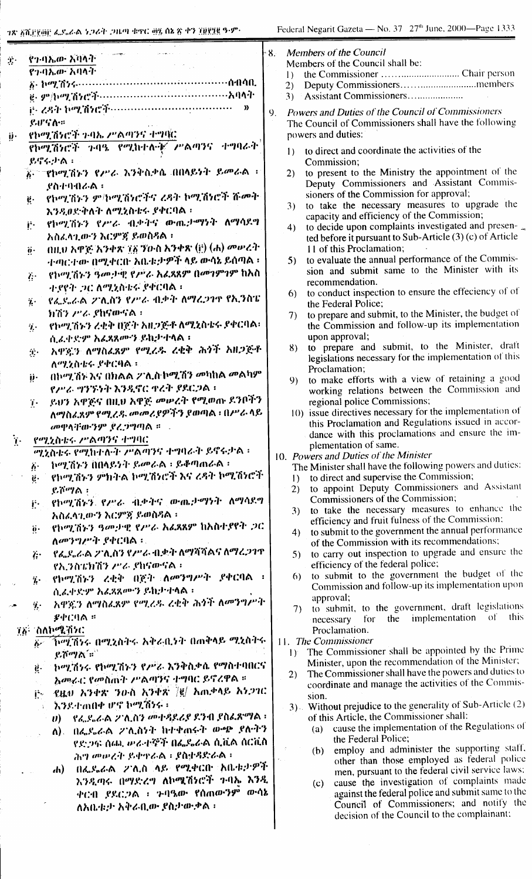$\hat{T}_s$ 

ij.

| የተባኤው አባላት `                                                    | M<br>ŀ8.<br>M              |
|-----------------------------------------------------------------|----------------------------|
| የኅብኤው አባላት -                                                    | $\left  \right $           |
|                                                                 | 2)<br>3)                   |
| ij- ረዳት ኮሚሽነሮች……………………………<br>»                                  |                            |
| いいていこ                                                           | P <sub>0</sub><br>9.<br>Tl |
| የኮሚሽኑሮች ጉባኤ ሥልጣንና ተግባር                                          |                            |
| የኮሚሽነሮች ጉባዔ የሚከተሉትኛ ሥልጣንና ተግባራት                                 | pc                         |
|                                                                 | $\mathbf{I}$               |
| ይኖሩታል:                                                          |                            |
| ል። "የኮሚሽኑን የሥራ እንቅስቃሴ በበላይነት ይመራል ፡፡                            | 2)                         |
| ያስተባብራል።                                                        |                            |
| የኮሚኸኑን ምክሚሽነሮችና ረዳት ኮሚሽነሮች ሹመት<br>ÿ.                            | 3)                         |
| እንዲወድቅለት ለሚኒስቴሩ ያቀርባል ፡                                         |                            |
| የኮሚሽኑን የሥራ ብቃትና ውጤታማነት ለማሳደግ<br>į۰                              | $\overline{4})$            |
| አስፈላጊውን እርምጀ ይወስዳል ፡                                            |                            |
| በዚህ አዋጅ አንቀጽ ፲፩ ፓውስ አንቀጽ (ij) (ሐ) መሠረት<br>$\ddot{\mathbf{0}}$ . |                            |
| ተጣርተው በሚቀርቡ አቤቱታዎች ላይ ውሳኔ ይሰጣል ፡                                | 5)                         |
| የኮሚኸኑን ዓመታዊ የሥራ አፈጻጸም በመገምገም ከአስ<br>$\ddot{G}$                  |                            |
| ተያየት ጋር ለሚኒስቴሩ ያቀርባል ፡                                          | 6)                         |
| የፌደሬል ፖሊስን የሥራ ብቃት ለማረጋገዋ የኢንስፔ<br>$\ddot{v}$                   |                            |
| ክሽን ሥራ ያከናውናል ፡                                                 | 7)                         |
| የኮሚሽኑን ረቂቅ በጀት አዘጋጅቶ ለሚኒስቴሩ ያቀርባል፡<br>$\eta$ .                  |                            |
| ሲሬ ቀድም አፌጳጸምን ይከታተላል ፡                                          |                            |
| አዋኟን ለማስፈጸም የሚረዱ ረቂቅ ሕጎች አዘጋጅቶ<br>$\mathbf{T}$                  | 8 <sup>°</sup>             |
| ለሚኒስቴሩ ያቀርባል ፡                                                  |                            |
| በኮሚሽን እና በክልል ፖሊስ ኮሚሽን መካከል መልካም<br>ij٠                         | 9                          |
| የሥራ ግንኙነት እንዲኖር ዋረት ያደርጋል።                                      |                            |
| ይህን አዋጅና በዚህ አዋጅ መሠረት የሚወጡ ደንቦችን<br>$\mathbf{I}$ .              |                            |
| ለማስፈጸም የሚረዱ መመሪያዎችን ያወጣል ፡ በሥራ ላይ                               | I                          |
| መዋላቸውንም ያረጋግጣል ።                                                |                            |
| የሚኒስቴሩ ሥልጣንና ተግባር                                               |                            |
| ሚኒስቴሩ የሚከተሉት ሥልጣንና ተግባራት ይኖሩታል :                                | $10.$ $\overline{I}$       |
| ከሚሽኑን በበላይነት ይመራል ፡ ይቆጣጠራል ፡<br>$\ddot{\theta}$ .               |                            |
| . የኮሚሽኑን ምክትል ኮሚሽነሮች እና ረዳት ኮሚሽነሮች<br>$\ddot{e}$ .              | 1                          |
| ይሾማል ፡                                                          | $\overline{2}$             |
| የኮሚሽኑን የሥራ ብቃትና ውጤታማነት ለማሳደግ<br>j٠.                             | 3                          |
| አስፈላጊውን እርምጀ ይወስዳል ፡                                            |                            |
| የኮሚሽኑን ዓመታዊ የሥራ አፈጸጸም ከአስተያየት ጋር<br>$\ddot{\mathbf{0}}$ .       | 4                          |
| ለመንግሥት ያቀርባል ፡፡                                                 |                            |
| . የፌደሬራል 2ገሊስን የሥራ ብቃት ለማሻሻልና ለማረጋገጥ<br>$\ddot{r}$              | Ŝ                          |
| የኢንስፔክሽን ሥራ ያከናውናል።                                             |                            |
| ች የኮሚሽኑን ረቂቅ በጀት ለመንግሥት ያቀርባል ፡                                 | t                          |
| ሲሬቀድም አፈጻጸሙን ይከታተላል ፡                                           |                            |
| አዋጇን ለማስፌጸም የሚረዱ ረቂቅ ሕጎች ለመንግሥት<br>$\ddot{\mathbf{z}}$ .        |                            |
| 必ずにりあず                                                          |                            |
| 77 - ስለኮሚሽነር                                                    |                            |
|                                                                 | 11.                        |
| ይሾማል´።``                                                        | 1)                         |
| g. ከሚሽነሩ የኮሚሽኑን የሥራ እንቅስቃሴ የማስተባበርና                             | $\mathbf{2}$               |
| አመራር የመስጠት ሥልጣንና ተግባር ይኖረዋል ።<br>$\mathbb{S}_{\geq 1}$          |                            |
| its - ይሄቱ፣ አንቀጽ, ንዑስ አንቀጽ /g/ አጠቃላይ አንጋገር                       |                            |
| ንንደተጠበቀ ሆኖ ኮሚሽንሩ ፡                                              | $\overline{\mathbf{3}}$    |
| ሀ) - የፌዶሬል ፖሊስን መተዳደሪያ ደንብ ያስፌጽማል ፡                             |                            |
| ለ). በፌዶራል ፖሊስንት ከተቀጠሩት ውጭ ያለብን                                  |                            |
| የድጋፍ ሰጫ ሥራቲኞች በፌዴራል ሲቪል ሰርቪስ                                    |                            |
| ሕግ መሠረት ይቀዋራል ፡ ያስተዳድራል ፡                                       |                            |
| -በፌዶራል - ፖሊስ -ላይ- የሚቀርቡ -አቤቱታዎች<br>7h) -                        |                            |
| አንዲጣሩ በማድረግ ለኮሜሽነሮች ጉባኤ እንዲ                                     |                            |
| <u>ቀርብ ያደርጋል ፡ ኑባዔው የሰጠውንም ውሳኔ</u>                              |                            |

ለአቤቱታ አቅራቢው ያስታውቃል ፡

- embers of the Council lembers of the Council shall be:
	-
	-
	- Assistant Commissioners....................
- owers and Duties of the Council of Commissioners he Council of Commissioners shall have the following owers and duties:
	- to direct and coordinate the activities of the Commission:
	- to present to the Ministry the appointment of the Deputy Commissioners and Assistant Commissioners of the Commission for approval;
	- to take the necessary measures to upgrade the capacity and efficiency of the Commission;
	- to decide upon complaints investigated and presented before it pursuant to Sub-Article  $(3)$  (c) of Article 11 of this Proclamation;
	- to evaluate the annual performance of the Commission and submit same to the Minister with its recommendation.
	- to conduct inspection to ensure the effeciency of of the Federal Police;
	- to prepare and submit, to the Minister, the budget of the Commission and follow-up its implementation upon approval;
	- to prepare and submit, to the Minister, draft legislations necessary for the implementation of this Proclamation:
	- to make efforts with a view of retaining a good working relations between the Commission and regional police Commissions;
	- () issue directives necessary for the implementation of this Proclamation and Regulations issued in accordance with this proclamations and ensure the implementation of same.
- Powers and Duties of the Minister
- The Minister shall have the following powers and duties: to direct and supervise the Commission;
	- to appoint Deputy Commissioners and Assistant Commissioners of the Commission;
	- to take the necessary measures to enhance the h. efficiency and fruit fulness of the Commission;
	- to submit to the government the annual performance  $\overline{4}$ of the Commission with its recommendations;
	- to carry out inspection to upgrade and ensure the  $\overline{\mathbf{5}}$ efficiency of the federal police;
	- to submit to the government the budget of the 6) Commission and follow-up its implementation upon approval;
	- to submit, to the government, draft legislations 7) implementation of this the necessary for Proclamation.

The Commissioner

- The Commissioner shall be appointed by the Prime Minister, upon the recommendation of the Minister;
- The Commissioner shall have the powers and duties to coordinate and manage the activities of the Commission
- $\mathcal{L}$  Without prejudice to the generality of Sub-Article (2) of this Article, the Commissioner shall:
	- cause the implementation of the Regulations of (a) the Federal Police;
	- employ and administer the supporting staff.  $(b)$ other than those employed as federal police men, pursuant to the federal civil service laws;
	- cause the investigation of complaints made  $(c)$ against the federal police and submit same to the Council of Commissioners; and notify the decision of the Council to the complainant: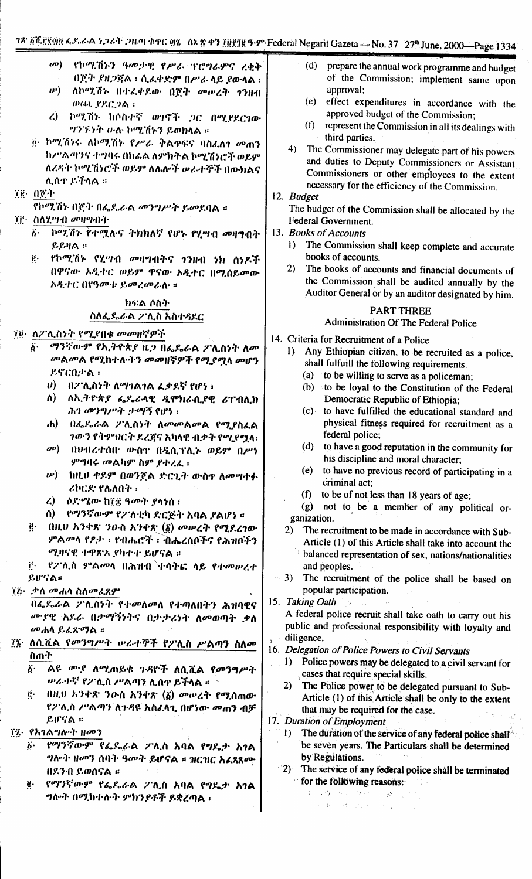- $\mathbf{w}$ የኮሚሽኑን ዓመታዊ የሥራ ፕሮግራምና ረቂቅ በጀት ያዘጋጀል ፡ ሲፌቀድም በሥራ ላይ ያውላል ፡ ለኮሚሽኑ በተፈቀደው በጀት መሠረት ገንዘብ  $\bm{w}$ ) ወጨ *የ*ደርጋል።
- ረ) ኮሚሽኑ ከሶስተኛ ወገኖች ጋር በሚያደርገው ግንኙነት ሁለ ኮሚሽኑን ይወክላል ።
- @ ኮሚሽንሩ ለኮሚሽኑ የሥራ ቅልዋፍና ባስፈለን መጠን ከሥልጣንና ተግባሩ በክራል ለምክትል ኮሚሽነሮች ወይም ለረዳት ኮሚሽነሮች ወይም ለሌሎች ሥራተኞች በውክልና ሊሰዋ ይችላል ።
- 7g 0g 1

የኮሚሽኑ በጀት በፌደራል መንግሥት ይመደባል ።

- ፲፱• ስለሂማብ መዛማብት
	- $\overline{\delta}$  ኮሚሽኑ የተሟሉና ተክክለኛ የሆኑ የሂሣብ መዛግብት  $R$ ይዛል ።
	- ę. የኮሚሽኑ የሂማብ መዛግብትና ገንዘብ ነክ ሰነዶች በዋናው አዲተር ወይም ዋናው አዲተር በሚሰይመው አዲተር በየዓመቱ ይመረመራሉ ።

#### ክፍል ሶስት ስለፌዶሬል ፖሊስ አስተዳደር

፲፬· ለ2ንሊስነት የሚያበቁ መመዘኛዎች

- ማንኛውም የኢትዮጵያ ዜጋ በፌዴራል ፖሊስነት ለመ  $\ddot{\delta}$ . መልመል የሚከተሉትን መመዘኛዎች የሚያሟላ መሆን  $g$ <sub>CO</sub> $h$  a :
	- $\ket{0}$  በ2 ሲስነት ለማገልገል ፌቃደኛ የሆነ።
	- ለኢትዮጵያ ፌዴራላዊ ዲሞክራሲያዊ ሪፐብሊክ  $\Lambda$ ) ሕገ መንግሥት ታማኝ የሆነ :
	- ሐ) በፌዴራል ፖሊስነት ለመመልመል የሚያስፈል ገውን የትምህርት ደረጃና አካላዊ ብቃት የሚያሟላ፡
	- *መ*) በሀብረተሰበ ውስዋ በዲሲፕሊኑ ወይም በሥነ ምግባሩ መልካም ስም ያተረፈ ፡
	- **ιν) ከዚህ ቀደም በወንጀል ድርጊት ውስ**ዮ ለመሣተፉ ሪኮርድ የሴለበት ፡
	- $\lambda$ ዕድሚው ከገቿ ዓመት ያላነሰ።
	- ስ) የማንኛውም የፖለቲካ ድርጅት አባል ያልሆነ ።
- በዚህ አንቀጽ ንዑስ አንቀጽ (δ) መሥረት የሚደረገው ë. ምልመላ የዖታ ፣ የብሔሮች ፣ ብሔረሰቦችና የሕዝቦችን ሚዛናዊ ተዋጽኦ ያካተተ ይሆናል ።

ji. የፖሊስ ምልመላ በሕዝብ ትሳትፎ ላይ የተመሠረተ ይሆናል።

፲፭• .ቃለ መሐሳ ስለመሬጸም

በፌዶራል ፖሊስነት የተመለመለ የተጣለበትን ሕዝባዊና ሙያዊ አደራ በታማኝነትና በታታሪነት ለመወጣት ቃለ *መ*ሐሳ ይሬጸ'ማል ፡፡

- ፲፯· ለሲቪል *የመን<u>ግሥት ሠራተኞች የ</u>ፖሊስ ሥልጣ*ን ስለመ ስጠት
	- ልዩ ሙያ ለሚጠይቁ ጉዳዮች ለሲቪል የመንግሥት  $\ddot{\bm{b}}$ . ሥራተኛ የፖሊስ ሥልጣን ሊሰዋ ይችላል ፡፡
	- በዚህ አንቀጽ ንዑስ አንቀጽ (፩) መሠረት የሚሰጠው ġ. የፖሊስ ሥልጣን ለኅዳዩ አስፈላጊ በሆነው መጠን ብቻ ይሆናል ።
- ፲፯• የአገልግሎት ዘመን
	- የማንኛውም የፌዴራል ፖሊስ አባል የግዴታ አገል  $\ddot{\mathbf{b}}$ . ግሎት ዘመን ሰባት ዓመት ይሆናል ። ዝርዝር አፈጻጸሙ በደንብ ይወሰናል ።
	- የማንኛውም የፌደራል ፖሊስ አባል የግዴታ አገል ë. ግሎት በሚከተሉት ምክንያቶች ይቋረጣል ፡
- $(d)$ prepare the annual work programme and budget of the Commission; implement same upon approval;
- (e) effect expenditures in accordance with the approved budget of the Commission:
- (f) represent the Commission in all its dealings with third parties.
- 4) The Commissioner may delegate part of his powers and duties to Deputy Commissioners or Assistant Commissioners or other employees to the extent necessary for the efficiency of the Commission.
- 12. Budget

The budget of the Commission shall be allocated by the Federal Government.

- 13. Books of Accounts
	- $\mathbf{D}$ The Commission shall keep complete and accurate books of accounts.
	- $2)$ The books of accounts and financial documents of the Commission shall be audited annually by the Auditor General or by an auditor designated by him.

#### **PART THREE**

#### **Administration Of The Federal Police**

- 14. Criteria for Recruitment of a Police
	- 1) Any Ethiopian citizen, to be recruited as a police, shall fulfuill the following requirements.
		- (a) to be willing to serve as a policeman;
		- (b) sto be loyal to the Constitution of the Federal Democratic Republic of Ethiopia;
		- (c) to have fulfilled the educational standard and physical fitness required for recruitment as a federal police:
		- $(d)$ to have a good reputation in the community for his discipline and moral character;
		- $(e)$ to have no previous record of participating in a criminal act:
		- to be of not less than 18 years of age;  $(f)$

(g) not to be a member of any political organization.

- The recruitment to be made in accordance with Sub- $2)$ Article (1) of this Article shall take into account the balanced representation of sex, nations/nationalities and peoples.
- $3)$ The recruitment of the police shall be based on popular participation.

15. Taking Oath  $\hat{\gamma}_k$ A federal police recruit shall take oath to carry out his public and professional responsibility with loyalty and diligence.

- 16. Delegation of Police Powers to Civil Servants
	- 1) Police powers may be delegated to a civil servant for cases that require special skills.
	- The Police power to be delegated pursuant to Sub- $2)$ Article (1) of this Article shall be only to the extent that may be required for the case.
- 17. Duration of Employment
	- 1) The duration of the service of any federal police shall be seven years. The Particulars shall be determined by Regulations.
	- (2) The service of any federal police shall be terminated **Solution** following reasons:
		- 3. 将 mm The sound South And State Corp.  $\sim 10^4$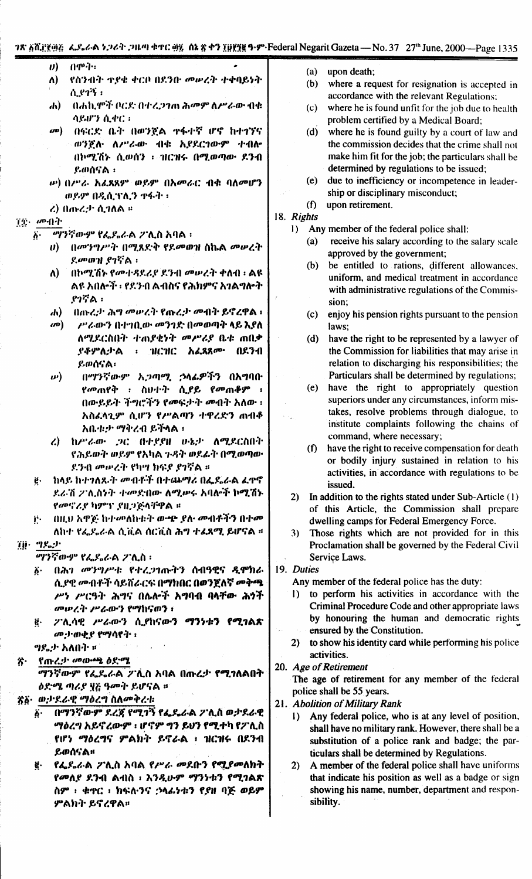#### 78. All Figure 6. Sud-A 5.26 P. 2014 4TC and Ak & 47 Hilfug 9. P. Federal Negarit Gazeta - No. 37 27th June, 2000-Page 1335

- $0494$  $\boldsymbol{\theta}$
- $\Lambda$ ) የስንብት ተያቄ ቀርቦ በደንቡ መሥረት ተቀባይነት ሲ.የተኝ ፡
- በሐኪሞች ቦርድ በተረጋገጠ ሕመም ለሥራው ብቁ  $\mathbf{d}$ ሳይሆን ሲቀር።
- $\omega$ <sup> $)$ </sup> ብፍርድ ቤት በወንጀል ተፋተኛ ሆኖ ከተገኘና ወንጅሉ ለሥራው ብቁ አያደርገውም ተብሎ በኮሚሽኑ ሲወሰን ፡ ብርዝሩ በሚወጣው ደንብ ይወሰናል ፡
- ιν) (Ι/"ζ. አፈጸጸም ወይም (Ιλመራር ብቁ ባለመሆን ወይም በዲሲፕሊን ዋፋት ፡
- $\zeta$ ) በ $\eta$   $\zeta$ .)  $\eta$ .  $\eta$ ለል ።

#### $72.$   $\omega$ -A4

- *ማንኛውም የፌ*ደሬል ፖሊስ አባል ፡  $\ddot{b}$ 
	- በመንግሥት በሚጸድቅ የደመወዝ ስኬል መሠረት D) ደመወዝ ያገኛል።
	- በኮሚሽኑ የመተዳደሪያ ደንብ መሠረት ቀለብ ፡ ልዩ ለ) ልዩ አበሎች ፣ የደንብ ልብስና የሕክምና አንልግሎት  $P25A$  ፡
	- በጡረታ ሕግ መሥረት የጡረታ መብት ይኖረዋል ፡ dv)
	- $\omega$ /"ራውን በተገቢው መንገድ በመወጣት ላይ እያለ ለሚደርስበት ተጠያቂነት መሥሪያ ቤቱ ጠበቃ ፡ ገበርዝር አፈጻጸ<u>ም</u> በደንብ ያቶምሊታል ይወሰናል፡
	- በማንኛውም አጋጣሚ ኃላፊዎችን በአግባበ  $\boldsymbol{\boldsymbol{\nu}})$ *የመ*ጠየቅ ፡ ስሁተት ሲያይ የመጠቆም ፡ በውይይት ችግሮችን የመፍታት መብት አለው ፡ አስፌላጊም ሲሆን የሥልጣን ተዋረድን ጠብቆ አቤቱታ ማቅረብ ይችላል ፡
	- ከሥራው ጋር በተያያዘ ሁኔታ ለሚደርስበት  $\lambda$ የሕይወት ወይም የአካል ጉዳት ወደፊት በሚወጣው ደንብ መሠረት የካሣ ክፍደ ደንኛል ።
- ከላይ ከተገለጹት መብቶች በተጨማሪ በፌዴራል ፈዋኖ ë. ደራሽ ፖሊስነት ተመድበው ለሚሠሩ አባሎች ኮሚሽኑ የመኖሪያ ካምፕ ያዘጋጅላቸዋል ።

በዚህ አዋጅ ከተመለከቱት ውጭ ያሉ መብቶችን በተመ j٠. ለከተ የፌደሬል ሲቪል ሰርቪስ ሕግ ተፈጸሚ ይሆናል ።

#### $\tilde{\chi}(\tilde{\mathbf{j}}) = \mathbf{T} \mathbf{F}_0 \mathbf{F}^{\mathbf{T}}$

ማንኛውም የፌዶራል ፖሊስ ፡

- ፩· በሕገ መንግሥቱ የተረጋገጡትን ሰብዓዊና ዲሞክራ ሲ የዊ መብቶች ሳይሸራርፍ በማክበር በወንጀለኛ መቅጫ ሥነ ሥርዓት ሕግና በሌሎች አግባብ ባላቸው ሕጎች መውረት ሥራውን የማከናወን ፡
- ፖሊሳዊ ሥራውን ሲያከናውን ማንነቱን የሚገልጽ ë. መታወቂያ የማሳየት ፡

*ግ*ዴታ አለበት ፡፡

#### የጡረታ መውጫ ዕድሜ 劣.

ማንኛውም የፌዴራል ፖሊስ አባል በጡረታ የሚገለልበት ዕድሜ ጣሪያ ፶፭ ዓመት ይሆናል ፡፡

#### ጽ፩• ወታዳራዊ ማዕረግ ስለመቅረቱ

- በማንኛውም ደረጃ የሚገኝ የፌዴራል ፖሊስ ወታደራዊ  $\ddot{\theta}$ . ማዕረግ አይኖረውም ፡ ሆኖም ግን ይህን የሚተካ የፖሊስ የሆነ ማዕረግና ምልክት ይኖራል ፣ ዝርዝሩ በደንብ ይወሰናል።
- የፌዴራል ፖሊስ አባል የሥራ መደቡን የሚያመለክት ğ. የመለደ ደንብ ልብስ ፡ እንዲሁም ማንነቱን የሚገልጽ ስም ፡ ቁዋር ፡ ክፍለ፡ንና :›ሳፌነቱን የያዘ ባጅ ወይም ምልክት ይኖረዋል።
- upon death;  $(a)$
- $(b)$ where a request for resignation is accepted in accordance with the relevant Regulations;
- $(c)$ where he is found unfit for the job due to health problem certified by a Medical Board;
- $(d)$ where he is found guilty by a court of law and the commission decides that the crime shall not make him fit for the job; the particulars shall be determined by regulations to be issued;
- $(e)$ due to inefficiency or incompetence in leadership or disciplinary misconduct;  $(f)$ upon retirement.

## 18. Rights

- Any member of the federal police shall:  $\mathbf{D}$ 
	- receive his salary according to the salary scale  $(a)$ approved by the government;
	- $(b)$ be entitled to rations, different allowances, uniform, and medical treatment in accordance with administrative regulations of the Commission:
	- $(c)$ enjoy his pension rights pursuant to the pension laws:
	- $(d)$ have the right to be represented by a lawyer of the Commission for liabilities that may arise in relation to discharging his responsibilities; the Particulars shall be determined by regulations;
	- $(e)$ have the right to appropriately question superiors under any circumstances, inform mistakes, resolve problems through dialogue, to institute complaints following the chains of command, where necessary;
	- (f) have the right to receive compensation for death or bodily injury sustained in relation to his activities, in accordance with regulations to be issued.
- 2) In addition to the rights stated under Sub-Article (1) of this Article, the Commission shall prepare dwelling camps for Federal Emergency Force.
- $3)$ Those rights which are not provided for in this Proclamation shall be governed by the Federal Civil Service Laws.

#### 19. Duties

Any member of the federal police has the duty:

- 1) to perform his activities in accordance with the Criminal Procedure Code and other appropriate laws by honouring the human and democratic rights ensured by the Constitution.
- to show his identity card while performing his police  $2)$ activities.

#### 20. Age of Retirement

The age of retirement for any member of the federal police shall be 55 years.

- 21. Abolition of Military Rank
	- Any federal police, who is at any level of position,  $1)$ shall have no military rank. However, there shall be a substitution of a police rank and badge; the particulars shall be determined by Regulations.
	- $2)$ A member of the federal police shall have uniforms that indicate his position as well as a badge or sign showing his name, number, department and responsibility.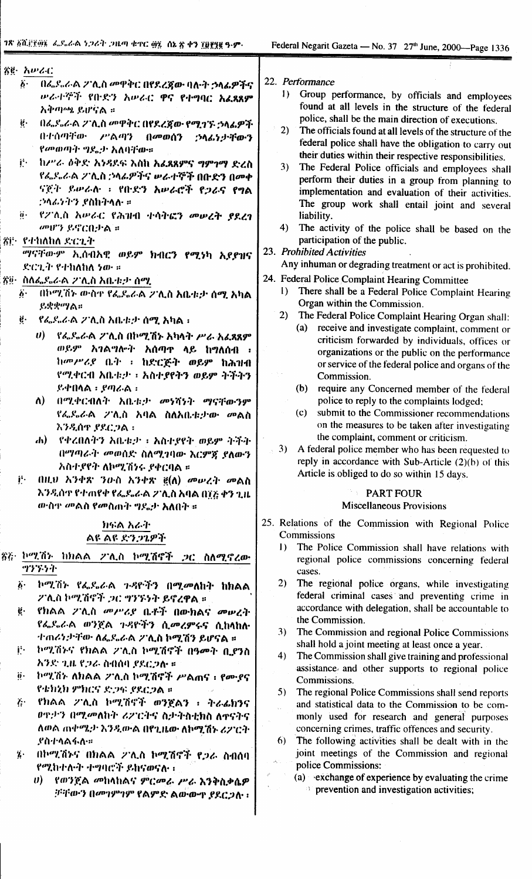| 答』 えいでく                                                                                   | 22. Performance                                                                                             |
|-------------------------------------------------------------------------------------------|-------------------------------------------------------------------------------------------------------------|
| በፌዴራል ፖሊስ መዋቅር በየደረጃው ባሉት ኃላፊዎችና<br>$\boldsymbol{b}$ .<br>ሥራተኞች የበ·ድን አሥራር ዋና የተግባር አፈጻጸም | Group performance, by officials and employees<br>$\bf{D}$                                                   |
| አቅጣጫ ይሆናል ።                                                                               | found at all levels in the structure of the federal                                                         |
| $\mathbf{e}$<br>በፌደሬል ፖሊስ መዋቅር በየደረጀው የሚገኙ ኃላፊዎች                                          | police, shall be the main direction of executions.                                                          |
| በተሰጣቸው ሥልጣን በመወሰን                                                                         | 2)<br>The officials found at all levels of the structure of the                                             |
| ;ንላ <i>ሌነታች</i> ውን<br>የመወጣት ግዴታ አለባቸው።                                                    | federal police shall have the obligation to carry out                                                       |
| ከሥራ ዕቅድ አንዳደፍ እስከ አፈጸጸምና ግምገማ ድረስ<br>j.                                                   | their duties within their respective responsibilities.                                                      |
| የፌዴራል ፖሊስ ኃላፊዎችና ሥራተኞች በቡድን በመቀ                                                           | 3)<br>The Federal Police officials and employees shall                                                      |
| ናጀት ይሥራሉ ፣ የቡድን አሥራሮች የኃራና የግል                                                            | perform their duties in a group from planning to                                                            |
| <i>:›ላራነትን ያስከትላሉ</i> ።                                                                   | implementation and evaluation of their activities.                                                          |
| $\ddot{\mathbf{0}}$ .                                                                     | The group work shall entail joint and several                                                               |
| የፖለስ አሥራር የሕዝብ ተሳትፎን መሠረት ያደረገ<br>መሆን ይኖርቢታል ።                                            | liability.<br>4)                                                                                            |
| ጀሮ የተከለከለ ድርጊት                                                                            | The activity of the police shall be based on the<br>participation of the public.                            |
|                                                                                           | 23. Prohibited Activities                                                                                   |
| "ሃናቸውም ኢሰብአዊ ወይም ክብር <b>ን የሚ</b> ነካ አደያዝና<br>ድርጊት የተከለከለ ነው ።                             | Any inhuman or degrading treatment or act is prohibited.                                                    |
|                                                                                           | 24. Federal Police Complaint Hearing Committee                                                              |
| ፳፬· ስለፌዴራል ፖሊስ አቤቱታ ሰሚ                                                                    | There shall be a Federal Police Complaint Hearing<br>$\mathbf{D}$                                           |
| በኮሚሽኑ ውስዋ የፌዴራል ፖሊስ አቤቱታ ሰሚ አካል<br>$\boldsymbol{b}$ .<br>ይቋቋማል።                           | Organ within the Commission.                                                                                |
| ġ.                                                                                        | 2)<br>The Federal Police Complaint Hearing Organ shall:                                                     |
| <i>የፌ</i> ዴራል ፖሊስ አቤቱታ ሰሚ አካል ፡                                                           | receive and investigate complaint, comment or<br>(a)                                                        |
| የፌዴራል ፖሊስ በኮሚሽኑ እካላት ሥራ አፈጸጸም<br>$\bm{U}$                                                 | criticism forwarded by individuals, offices or                                                              |
| ወይም አገልግሎት አሰጣዋ ላይ ከግለሰብ ፡                                                                | organizations or the public on the performance                                                              |
| ከመሥሪያ ቤት ፡ ከድርጅት ወይም ከሕዝብ                                                                 | or service of the federal police and organs of the                                                          |
| የሚቀርብ አቤቱታ ፣ አስተያየትን ወይም ትችትን                                                             | Commission.                                                                                                 |
| $R$ ቀበላል ፡ የጣራል ፡                                                                         | require any Concerned member of the federal<br>(b)                                                          |
| በሚቀርብለት አቤቱታ መነሻነት ማናቸውንም<br>ለ)                                                           | police to reply to the complaints lodged;                                                                   |
| የፌዴራል ፖሊስ አባል ስለአቤቱታው <i>መ</i> ልስ                                                         | submit to the Commissioner recommendations<br>(c)                                                           |
| እንዲሰዋ ያደርጋል ፡                                                                             | on the measures to be taken after investigating                                                             |
| $\mathbf{d}$<br>የቀረበለትን አቤቱታ ፣ አስተያየት ወይም ትችት                                             | the complaint, comment or criticism.                                                                        |
| በማጣራት መወሰደ ስለሚገባው እርምጃ ያለውን                                                               | 3) A federal police member who has been requested to<br>reply in accordance with Sub-Article (2)(b) of this |
| አስተያየት ለኮሚሽነሩ ያቀርባል ።                                                                     | Article is obliged to do so within 15 days.                                                                 |
| j٠.<br>በዚህ አንቀጽ ንውስ አንቀጽ ፪(ለ) መሥረት መልስ                                                    |                                                                                                             |
| እንዲሰዋ የተጠየቀ የፌደሬል ፖሊስ አባል በ፲፭ ቀን ጊዜ                                                       | <b>PART FOUR</b>                                                                                            |
| ውስዋ መልስ የመስጠት ግዴታ አለበት።                                                                   | <b>Miscellaneous Provisions</b>                                                                             |
| ክፍል አራት                                                                                   | 25. Relations of the Commission with Regional Police                                                        |
| ልዩ ልዩ ድንጋጌዎች                                                                              | Commissions                                                                                                 |
| 答と                                                                                        | The Police Commission shall have relations with<br>$\mathbf{D}$                                             |
| ኮሚሽኑ ከክልል 2ንሊስ ኮሚሽኖች <i>ጋ</i> ር ስለሚኖረው<br>ツンジライ                                           | regional police commissions concerning federal                                                              |
|                                                                                           | cases.                                                                                                      |
| $\ddot{\mathbf{6}}$ .<br>ኮሚሽኑ የፌዴራል ጉዳዮችን በሚመለከት ከክልል                                     | 2)<br>The regional police organs, while investigating                                                       |
| ፖሊስ ኮሚሽኖች <i>ጋ</i> ር ግንኙነት ይኖረዋል ።                                                        | federal criminal cases and preventing crime in<br>accordance with delegation, shall be accountable to       |
| Ë.<br>የክልል ፖሊስ <i>መሥሪ</i> ያ ቤቶች በውክልና መሠረት                                                | the Commission.                                                                                             |
| የፌዴራል ወንጀል ጉዳዮችን ሲመረምሩና ሲከላከሉ                                                             | The Commission and regional Police Commissions<br>3)                                                        |
| ተጠሪንታቸው ለፌደሬል ፖሊስ ኮሚሽን ይሆናል ።                                                             | shall hold a joint meeting at least once a year.                                                            |
| j٠.<br>ኮሚሽኑና የክልል ፖሊስ ኮሚሽኖች በዓመት ቢያንስ                                                     | 4)<br>The Commission shall give training and professional                                                   |
| አንድ ጊዜ የጋራ ስብሰባ ያደርጋሉ ።                                                                   | assistance and other supports to regional police                                                            |
| $\ddot{\mathbf{0}}$ .<br>ኮሚሽኑ ለክልል 2 ሊስ ኮሚሽኖች ሥልሐና ፣ የሙያና                                 | Commissions.                                                                                                |
| የቴክኒክ ምክርና ድጋፍ ያደርጋል ።                                                                    | The regional Police Commissions shall send reports<br>5)                                                    |
| የክልል ፖሊስ ኮሚሽኖች ወንጀልን ፣ ትራፊክንና<br>$\ddot{G}$                                               | and statistical data to the Commission to be com-                                                           |
| ወዋታን በሚመለከት ሪፖርትና ስታትስቲክስ ለዋናትና                                                           | monly used for research and general purposes                                                                |
| ለወል ጠቀሜታ እንዲውል በየጊዜው ለኮሚሽኑ ሪፖርት                                                           | concerning crimes, traffic offences and security.                                                           |
| <b>.የስተላልፋለ።</b>                                                                          | The following activities shall be dealt with in the<br>6)                                                   |
| በኮሚሽኑና በክልል ፖሊስ ኮሚሽኖች የጋራ ስብሰባ<br>$\mathbf{z}$                                            | joint meetings of the Commission and regional                                                               |
| የሚከተሉት ተግባሮች ይከናወናሉ :                                                                     | police Commissions:                                                                                         |
| ሀ) የወንጀል መከላከልና ምርመራ ሥራ እንቅስቃሴዎ                                                           | (a) exchange of experience by evaluating the crime                                                          |
| ififian's framewords example a manage por nat                                             | $\sim$ prevention and investigation activities;                                                             |

ቻቸውን በመገምገም የልምድ ልውውዋ ያደርጋሉ ፡